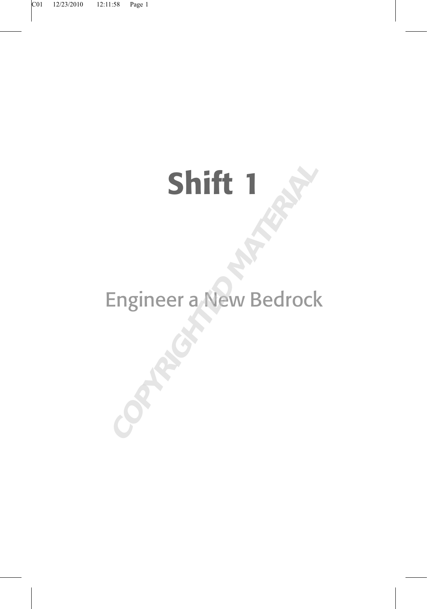# Shift 1 **Shift 1 RATERIALLY**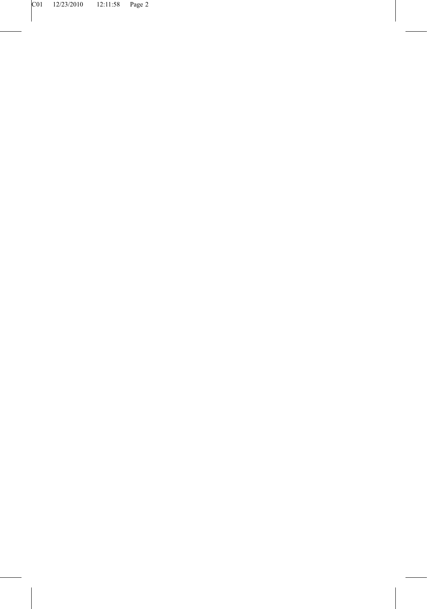C01 12/23/2010 12:11:58 Page 2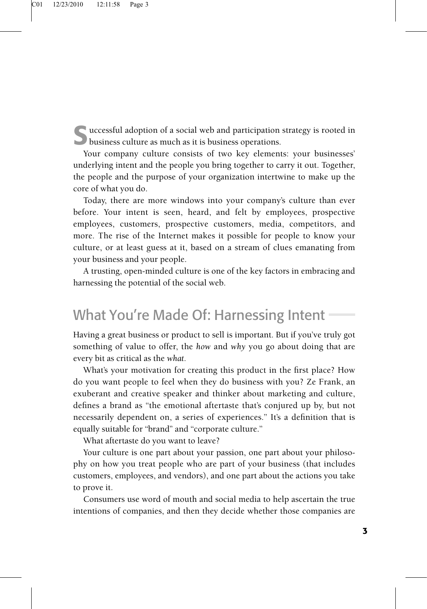business culture as much as it is business operations.

Successful adoption of a social web and participation strategy is rooted in business culture as much as it is business operations.<br>Your company culture consists of two key elements: your businesses' underlying intent and t Your company culture consists of two key elements: your businesses' the people and the purpose of your organization intertwine to make up the core of what you do.

Today, there are more windows into your company's culture than ever before. Your intent is seen, heard, and felt by employees, prospective employees, customers, prospective customers, media, competitors, and more. The rise of the Internet makes it possible for people to know your culture, or at least guess at it, based on a stream of clues emanating from your business and your people.

A trusting, open-minded culture is one of the key factors in embracing and harnessing the potential of the social web.

## What You're Made Of: Harnessing Intent

Having a great business or product to sell is important. But if you've truly got something of value to offer, the how and why you go about doing that are every bit as critical as the what.

What's your motivation for creating this product in the first place? How do you want people to feel when they do business with you? Ze Frank, an exuberant and creative speaker and thinker about marketing and culture, defines a brand as ''the emotional aftertaste that's conjured up by, but not necessarily dependent on, a series of experiences.'' It's a definition that is equally suitable for ''brand'' and ''corporate culture.''

What aftertaste do you want to leave?

Your culture is one part about your passion, one part about your philosophy on how you treat people who are part of your business (that includes customers, employees, and vendors), and one part about the actions you take to prove it.

Consumers use word of mouth and social media to help ascertain the true intentions of companies, and then they decide whether those companies are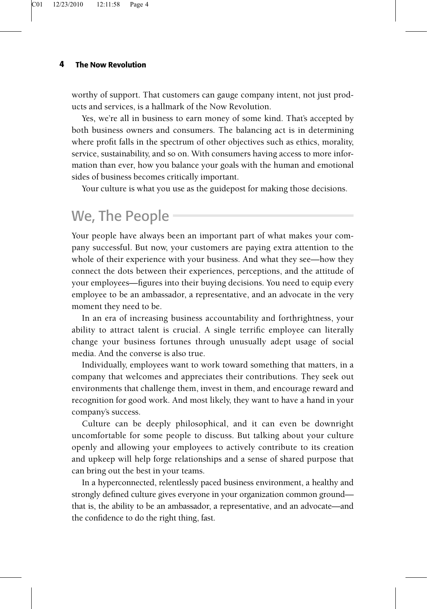worthy of support. That customers can gauge company intent, not just products and services, is a hallmark of the Now Revolution.

Yes, we're all in business to earn money of some kind. That's accepted by both business owners and consumers. The balancing act is in determining where profit falls in the spectrum of other objectives such as ethics, morality, service, sustainability, and so on. With consumers having access to more information than ever, how you balance your goals with the human and emotional sides of business becomes critically important.

Your culture is what you use as the guidepost for making those decisions.

## We, The People

Your people have always been an important part of what makes your company successful. But now, your customers are paying extra attention to the whole of their experience with your business. And what they see—how they connect the dots between their experiences, perceptions, and the attitude of your employees—figures into their buying decisions. You need to equip every employee to be an ambassador, a representative, and an advocate in the very moment they need to be.

In an era of increasing business accountability and forthrightness, your ability to attract talent is crucial. A single terrific employee can literally change your business fortunes through unusually adept usage of social media. And the converse is also true.

Individually, employees want to work toward something that matters, in a company that welcomes and appreciates their contributions. They seek out environments that challenge them, invest in them, and encourage reward and recognition for good work. And most likely, they want to have a hand in your company's success.

Culture can be deeply philosophical, and it can even be downright uncomfortable for some people to discuss. But talking about your culture openly and allowing your employees to actively contribute to its creation and upkeep will help forge relationships and a sense of shared purpose that can bring out the best in your teams.

In a hyperconnected, relentlessly paced business environment, a healthy and strongly defined culture gives everyone in your organization common ground that is, the ability to be an ambassador, a representative, and an advocate—and the confidence to do the right thing, fast.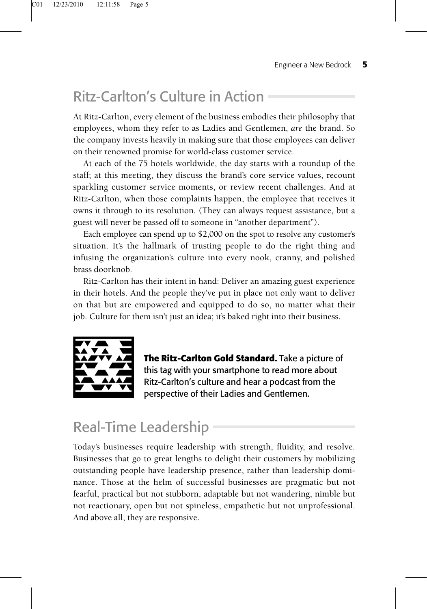## Ritz-Carlton's Culture in Action

At Ritz-Carlton, every element of the business embodies their philosophy that employees, whom they refer to as Ladies and Gentlemen, are the brand. So the company invests heavily in making sure that those employees can deliver on their renowned promise for world-class customer service.

At each of the 75 hotels worldwide, the day starts with a roundup of the staff; at this meeting, they discuss the brand's core service values, recount sparkling customer service moments, or review recent challenges. And at Ritz-Carlton, when those complaints happen, the employee that receives it owns it through to its resolution. (They can always request assistance, but a guest will never be passed off to someone in ''another department'').

Each employee can spend up to \$2,000 on the spot to resolve any customer's situation. It's the hallmark of trusting people to do the right thing and infusing the organization's culture into every nook, cranny, and polished brass doorknob.

Ritz-Carlton has their intent in hand: Deliver an amazing guest experience in their hotels. And the people they've put in place not only want to deliver on that but are empowered and equipped to do so, no matter what their job. Culture for them isn't just an idea; it's baked right into their business.



The Ritz-Carlton Gold Standard. Take a picture of this tag with your smartphone to read more about Ritz-Carlton's culture and hear a podcast from the perspective of their Ladies and Gentlemen.

## Real-Time Leadership

Today's businesses require leadership with strength, fluidity, and resolve. Businesses that go to great lengths to delight their customers by mobilizing outstanding people have leadership presence, rather than leadership dominance. Those at the helm of successful businesses are pragmatic but not fearful, practical but not stubborn, adaptable but not wandering, nimble but not reactionary, open but not spineless, empathetic but not unprofessional. And above all, they are responsive.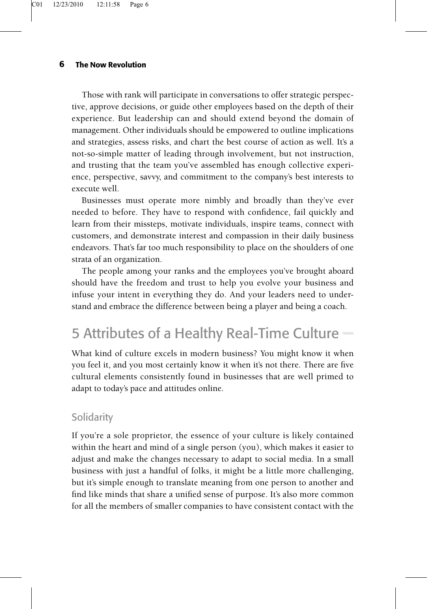Those with rank will participate in conversations to offer strategic perspective, approve decisions, or guide other employees based on the depth of their experience. But leadership can and should extend beyond the domain of management. Other individuals should be empowered to outline implications and strategies, assess risks, and chart the best course of action as well. It's a not-so-simple matter of leading through involvement, but not instruction, and trusting that the team you've assembled has enough collective experience, perspective, savvy, and commitment to the company's best interests to execute well.

Businesses must operate more nimbly and broadly than they've ever needed to before. They have to respond with confidence, fail quickly and learn from their missteps, motivate individuals, inspire teams, connect with customers, and demonstrate interest and compassion in their daily business endeavors. That's far too much responsibility to place on the shoulders of one strata of an organization.

The people among your ranks and the employees you've brought aboard should have the freedom and trust to help you evolve your business and infuse your intent in everything they do. And your leaders need to understand and embrace the difference between being a player and being a coach.

## 5 Attributes of a Healthy Real-Time Culture

What kind of culture excels in modern business? You might know it when you feel it, and you most certainly know it when it's not there. There are five cultural elements consistently found in businesses that are well primed to adapt to today's pace and attitudes online.

#### **Solidarity**

If you're a sole proprietor, the essence of your culture is likely contained within the heart and mind of a single person (you), which makes it easier to adjust and make the changes necessary to adapt to social media. In a small business with just a handful of folks, it might be a little more challenging, but it's simple enough to translate meaning from one person to another and find like minds that share a unified sense of purpose. It's also more common for all the members of smaller companies to have consistent contact with the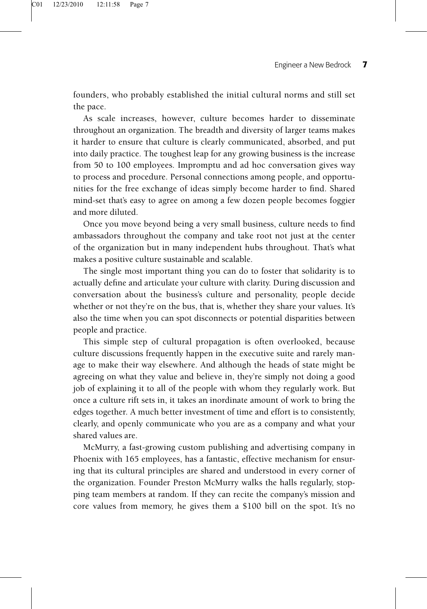founders, who probably established the initial cultural norms and still set the pace.

As scale increases, however, culture becomes harder to disseminate throughout an organization. The breadth and diversity of larger teams makes it harder to ensure that culture is clearly communicated, absorbed, and put into daily practice. The toughest leap for any growing business is the increase from 50 to 100 employees. Impromptu and ad hoc conversation gives way to process and procedure. Personal connections among people, and opportunities for the free exchange of ideas simply become harder to find. Shared mind-set that's easy to agree on among a few dozen people becomes foggier and more diluted.

Once you move beyond being a very small business, culture needs to find ambassadors throughout the company and take root not just at the center of the organization but in many independent hubs throughout. That's what makes a positive culture sustainable and scalable.

The single most important thing you can do to foster that solidarity is to actually define and articulate your culture with clarity. During discussion and conversation about the business's culture and personality, people decide whether or not they're on the bus, that is, whether they share your values. It's also the time when you can spot disconnects or potential disparities between people and practice.

This simple step of cultural propagation is often overlooked, because culture discussions frequently happen in the executive suite and rarely manage to make their way elsewhere. And although the heads of state might be agreeing on what they value and believe in, they're simply not doing a good job of explaining it to all of the people with whom they regularly work. But once a culture rift sets in, it takes an inordinate amount of work to bring the edges together. A much better investment of time and effort is to consistently, clearly, and openly communicate who you are as a company and what your shared values are.

McMurry, a fast-growing custom publishing and advertising company in Phoenix with 165 employees, has a fantastic, effective mechanism for ensuring that its cultural principles are shared and understood in every corner of the organization. Founder Preston McMurry walks the halls regularly, stopping team members at random. If they can recite the company's mission and core values from memory, he gives them a \$100 bill on the spot. It's no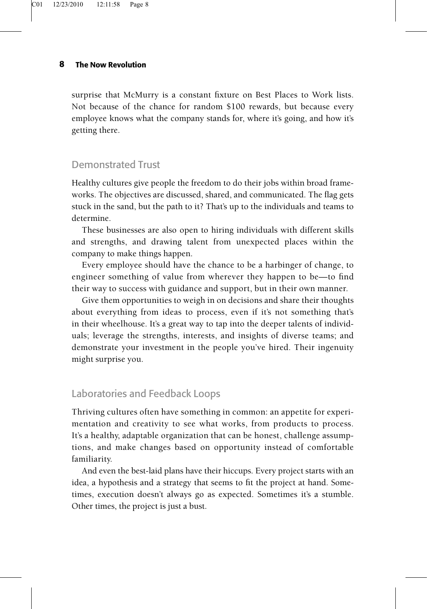#### 8 **The Now Revolution**

surprise that McMurry is a constant fixture on Best Places to Work lists. Not because of the chance for random \$100 rewards, but because every employee knows what the company stands for, where it's going, and how it's getting there.

## Demonstrated Trust

Healthy cultures give people the freedom to do their jobs within broad frameworks. The objectives are discussed, shared, and communicated. The flag gets stuck in the sand, but the path to it? That's up to the individuals and teams to determine.

These businesses are also open to hiring individuals with different skills and strengths, and drawing talent from unexpected places within the company to make things happen.

Every employee should have the chance to be a harbinger of change, to engineer something of value from wherever they happen to be—to find their way to success with guidance and support, but in their own manner.

Give them opportunities to weigh in on decisions and share their thoughts about everything from ideas to process, even if it's not something that's in their wheelhouse. It's a great way to tap into the deeper talents of individuals; leverage the strengths, interests, and insights of diverse teams; and demonstrate your investment in the people you've hired. Their ingenuity might surprise you.

#### Laboratories and Feedback Loops

Thriving cultures often have something in common: an appetite for experimentation and creativity to see what works, from products to process. It's a healthy, adaptable organization that can be honest, challenge assumptions, and make changes based on opportunity instead of comfortable familiarity.

And even the best-laid plans have their hiccups. Every project starts with an idea, a hypothesis and a strategy that seems to fit the project at hand. Sometimes, execution doesn't always go as expected. Sometimes it's a stumble. Other times, the project is just a bust.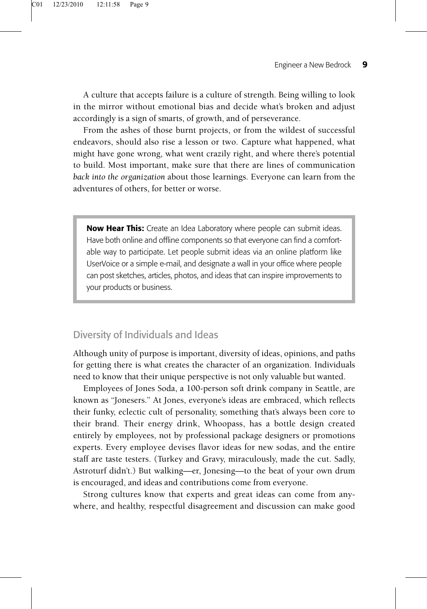A culture that accepts failure is a culture of strength. Being willing to look in the mirror without emotional bias and decide what's broken and adjust accordingly is a sign of smarts, of growth, and of perseverance.

From the ashes of those burnt projects, or from the wildest of successful endeavors, should also rise a lesson or two. Capture what happened, what might have gone wrong, what went crazily right, and where there's potential to build. Most important, make sure that there are lines of communication back into the organization about those learnings. Everyone can learn from the adventures of others, for better or worse.

Now Hear This: Create an Idea Laboratory where people can submit ideas. Have both online and offline components so that everyone can find a comfortable way to participate. Let people submit ideas via an online platform like UserVoice or a simple e-mail, and designate a wall in your office where people can post sketches, articles, photos, and ideas that can inspire improvements to your products or business.

#### Diversity of Individuals and Ideas

Although unity of purpose is important, diversity of ideas, opinions, and paths for getting there is what creates the character of an organization. Individuals need to know that their unique perspective is not only valuable but wanted.

Employees of Jones Soda, a 100-person soft drink company in Seattle, are known as ''Jonesers.'' At Jones, everyone's ideas are embraced, which reflects their funky, eclectic cult of personality, something that's always been core to their brand. Their energy drink, Whoopass, has a bottle design created entirely by employees, not by professional package designers or promotions experts. Every employee devises flavor ideas for new sodas, and the entire staff are taste testers. (Turkey and Gravy, miraculously, made the cut. Sadly, Astroturf didn't.) But walking—er, Jonesing—to the beat of your own drum is encouraged, and ideas and contributions come from everyone.

Strong cultures know that experts and great ideas can come from anywhere, and healthy, respectful disagreement and discussion can make good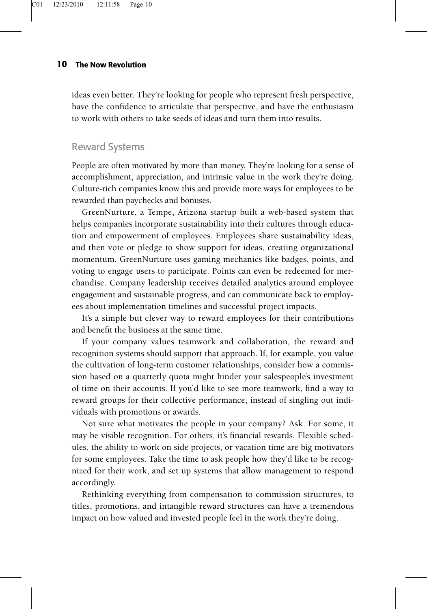ideas even better. They're looking for people who represent fresh perspective, have the confidence to articulate that perspective, and have the enthusiasm to work with others to take seeds of ideas and turn them into results.

#### Reward Systems

People are often motivated by more than money. They're looking for a sense of accomplishment, appreciation, and intrinsic value in the work they're doing. Culture-rich companies know this and provide more ways for employees to be rewarded than paychecks and bonuses.

GreenNurture, a Tempe, Arizona startup built a web-based system that helps companies incorporate sustainability into their cultures through education and empowerment of employees. Employees share sustainability ideas, and then vote or pledge to show support for ideas, creating organizational momentum. GreenNurture uses gaming mechanics like badges, points, and voting to engage users to participate. Points can even be redeemed for merchandise. Company leadership receives detailed analytics around employee engagement and sustainable progress, and can communicate back to employees about implementation timelines and successful project impacts.

It's a simple but clever way to reward employees for their contributions and benefit the business at the same time.

If your company values teamwork and collaboration, the reward and recognition systems should support that approach. If, for example, you value the cultivation of long-term customer relationships, consider how a commission based on a quarterly quota might hinder your salespeople's investment of time on their accounts. If you'd like to see more teamwork, find a way to reward groups for their collective performance, instead of singling out individuals with promotions or awards.

Not sure what motivates the people in your company? Ask. For some, it may be visible recognition. For others, it's financial rewards. Flexible schedules, the ability to work on side projects, or vacation time are big motivators for some employees. Take the time to ask people how they'd like to be recognized for their work, and set up systems that allow management to respond accordingly.

Rethinking everything from compensation to commission structures, to titles, promotions, and intangible reward structures can have a tremendous impact on how valued and invested people feel in the work they're doing.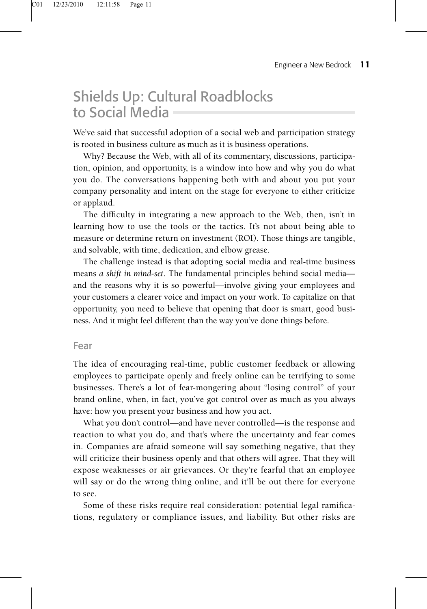## C01 12/23/2010 12:11:58 Page 11

## Shields Up: Cultural Roadblocks to Social Media

We've said that successful adoption of a social web and participation strategy is rooted in business culture as much as it is business operations.

Why? Because the Web, with all of its commentary, discussions, participation, opinion, and opportunity, is a window into how and why you do what you do. The conversations happening both with and about you put your company personality and intent on the stage for everyone to either criticize or applaud.

The difficulty in integrating a new approach to the Web, then, isn't in learning how to use the tools or the tactics. It's not about being able to measure or determine return on investment (ROI). Those things are tangible, and solvable, with time, dedication, and elbow grease.

The challenge instead is that adopting social media and real-time business means a shift in mind-set. The fundamental principles behind social media and the reasons why it is so powerful—involve giving your employees and your customers a clearer voice and impact on your work. To capitalize on that opportunity, you need to believe that opening that door is smart, good business. And it might feel different than the way you've done things before.

#### Fear

The idea of encouraging real-time, public customer feedback or allowing employees to participate openly and freely online can be terrifying to some businesses. There's a lot of fear-mongering about ''losing control'' of your brand online, when, in fact, you've got control over as much as you always have: how you present your business and how you act.

What you don't control—and have never controlled—is the response and reaction to what you do, and that's where the uncertainty and fear comes in. Companies are afraid someone will say something negative, that they will criticize their business openly and that others will agree. That they will expose weaknesses or air grievances. Or they're fearful that an employee will say or do the wrong thing online, and it'll be out there for everyone to see.

Some of these risks require real consideration: potential legal ramifications, regulatory or compliance issues, and liability. But other risks are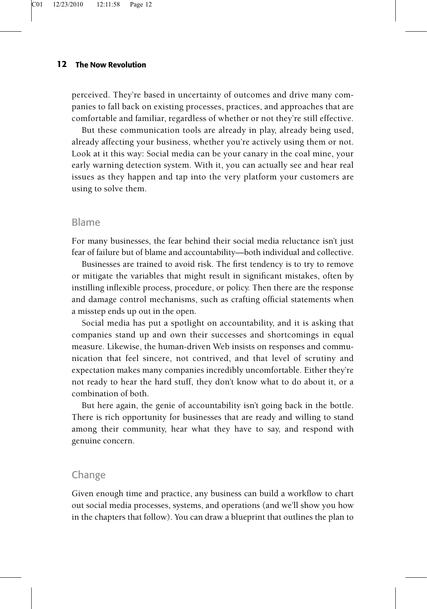perceived. They're based in uncertainty of outcomes and drive many companies to fall back on existing processes, practices, and approaches that are comfortable and familiar, regardless of whether or not they're still effective.

But these communication tools are already in play, already being used, already affecting your business, whether you're actively using them or not. Look at it this way: Social media can be your canary in the coal mine, your early warning detection system. With it, you can actually see and hear real issues as they happen and tap into the very platform your customers are using to solve them.

#### Blame

For many businesses, the fear behind their social media reluctance isn't just fear of failure but of blame and accountability—both individual and collective.

Businesses are trained to avoid risk. The first tendency is to try to remove or mitigate the variables that might result in significant mistakes, often by instilling inflexible process, procedure, or policy. Then there are the response and damage control mechanisms, such as crafting official statements when a misstep ends up out in the open.

Social media has put a spotlight on accountability, and it is asking that companies stand up and own their successes and shortcomings in equal measure. Likewise, the human-driven Web insists on responses and communication that feel sincere, not contrived, and that level of scrutiny and expectation makes many companies incredibly uncomfortable. Either they're not ready to hear the hard stuff, they don't know what to do about it, or a combination of both.

But here again, the genie of accountability isn't going back in the bottle. There is rich opportunity for businesses that are ready and willing to stand among their community, hear what they have to say, and respond with genuine concern.

#### Change

Given enough time and practice, any business can build a workflow to chart out social media processes, systems, and operations (and we'll show you how in the chapters that follow). You can draw a blueprint that outlines the plan to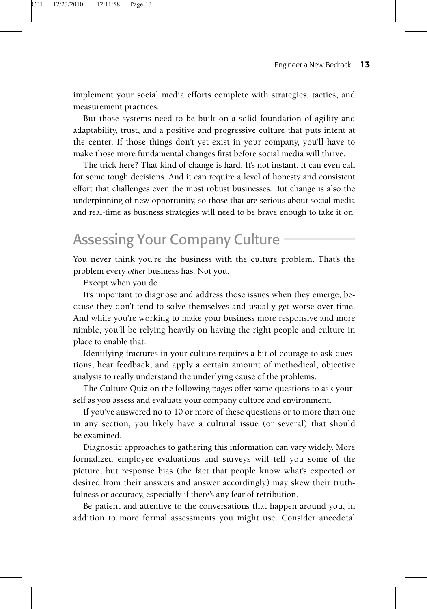implement your social media efforts complete with strategies, tactics, and measurement practices.

But those systems need to be built on a solid foundation of agility and adaptability, trust, and a positive and progressive culture that puts intent at the center. If those things don't yet exist in your company, you'll have to make those more fundamental changes first before social media will thrive.

The trick here? That kind of change is hard. It's not instant. It can even call for some tough decisions. And it can require a level of honesty and consistent effort that challenges even the most robust businesses. But change is also the underpinning of new opportunity, so those that are serious about social media and real-time as business strategies will need to be brave enough to take it on.

# Assessing Your Company Culture

You never think you're the business with the culture problem. That's the problem every other business has. Not you.

Except when you do.

It's important to diagnose and address those issues when they emerge, because they don't tend to solve themselves and usually get worse over time. And while you're working to make your business more responsive and more nimble, you'll be relying heavily on having the right people and culture in place to enable that.

Identifying fractures in your culture requires a bit of courage to ask questions, hear feedback, and apply a certain amount of methodical, objective analysis to really understand the underlying cause of the problems.

The Culture Quiz on the following pages offer some questions to ask yourself as you assess and evaluate your company culture and environment.

If you've answered no to 10 or more of these questions or to more than one in any section, you likely have a cultural issue (or several) that should be examined.

Diagnostic approaches to gathering this information can vary widely. More formalized employee evaluations and surveys will tell you some of the picture, but response bias (the fact that people know what's expected or desired from their answers and answer accordingly) may skew their truthfulness or accuracy, especially if there's any fear of retribution.

Be patient and attentive to the conversations that happen around you, in addition to more formal assessments you might use. Consider anecdotal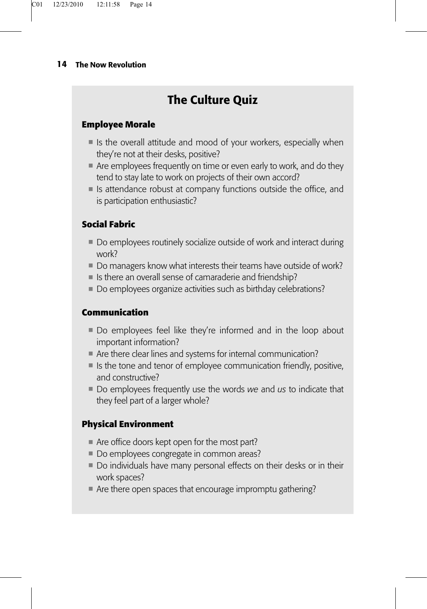# The Culture Quiz

#### Employee Morale

- $\blacksquare$  Is the overall attitude and mood of your workers, especially when they're not at their desks, positive?
- $\blacksquare$  Are employees frequently on time or even early to work, and do they tend to stay late to work on projects of their own accord?
- $\blacksquare$  Is attendance robust at company functions outside the office, and is participation enthusiastic?

#### Social Fabric

- Do employees routinely socialize outside of work and interact during work?
- $\blacksquare$  Do managers know what interests their teams have outside of work?
- Is there an overall sense of camaraderie and friendship?
- Do employees organize activities such as birthday celebrations?

#### Communication

- $\blacksquare$  Do employees feel like they're informed and in the loop about important information?
- & Are there clear lines and systems for internal communication?
- $\blacksquare$  Is the tone and tenor of employee communication friendly, positive, and constructive?
- $\blacksquare$  Do employees frequently use the words we and us to indicate that they feel part of a larger whole?

#### Physical Environment

- $\blacksquare$  Are office doors kept open for the most part?
- Do employees congregate in common areas?
- & Do individuals have many personal effects on their desks or in their work spaces?
- $\blacksquare$  Are there open spaces that encourage impromptu gathering?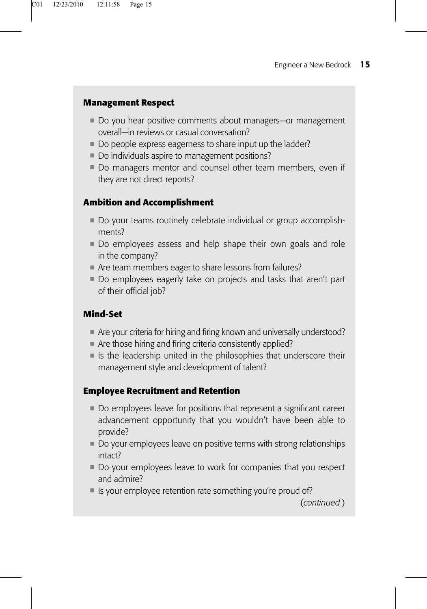#### Management Respect

- Do you hear positive comments about managers—or management overall—in reviews or casual conversation?
- Do people express eagerness to share input up the ladder?
- Do individuals aspire to management positions?
- Do managers mentor and counsel other team members, even if they are not direct reports?

### Ambition and Accomplishment

- & Do your teams routinely celebrate individual or group accomplishments?
- Do employees assess and help shape their own goals and role in the company?
- Are team members eager to share lessons from failures?
- Do employees eagerly take on projects and tasks that aren't part of their official job?

#### Mind-Set

- Are your criteria for hiring and firing known and universally understood?
- Are those hiring and firing criteria consistently applied?
- $\blacksquare$  Is the leadership united in the philosophies that underscore their management style and development of talent?

## Employee Recruitment and Retention

- Do employees leave for positions that represent a significant career advancement opportunity that you wouldn't have been able to provide?
- Do your employees leave on positive terms with strong relationships intact?
- Do your employees leave to work for companies that you respect and admire?
- $\blacksquare$  Is your employee retention rate something you're proud of?

(continued )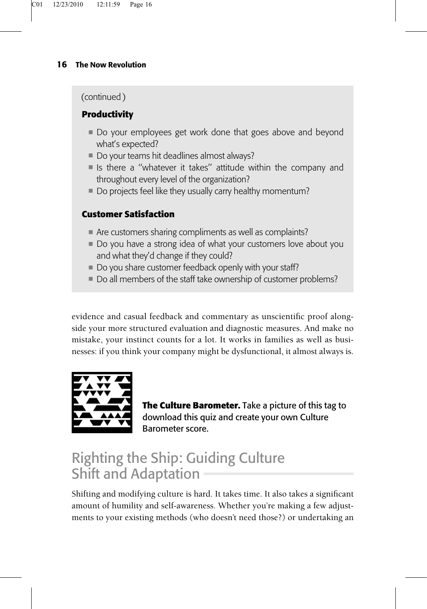(continued )

#### **Productivity**

- Do your employees get work done that goes above and beyond what's expected?
- Do your teams hit deadlines almost always?
- $\blacksquare$  Is there a "whatever it takes" attitude within the company and throughout every level of the organization?
- $\blacksquare$  Do projects feel like they usually carry healthy momentum?

#### Customer Satisfaction

- Are customers sharing compliments as well as complaints?
- Do you have a strong idea of what your customers love about you and what they'd change if they could?
- Do you share customer feedback openly with your staff?
- $\blacksquare$  Do all members of the staff take ownership of customer problems?

evidence and casual feedback and commentary as unscientific proof alongside your more structured evaluation and diagnostic measures. And make no mistake, your instinct counts for a lot. It works in families as well as businesses: if you think your company might be dysfunctional, it almost always is.



**The Culture Barometer.** Take a picture of this tag to download this quiz and create your own Culture Barometer score.

## Righting the Ship: Guiding Culture Shift and Adaptation

Shifting and modifying culture is hard. It takes time. It also takes a significant amount of humility and self-awareness. Whether you're making a few adjustments to your existing methods (who doesn't need those?) or undertaking an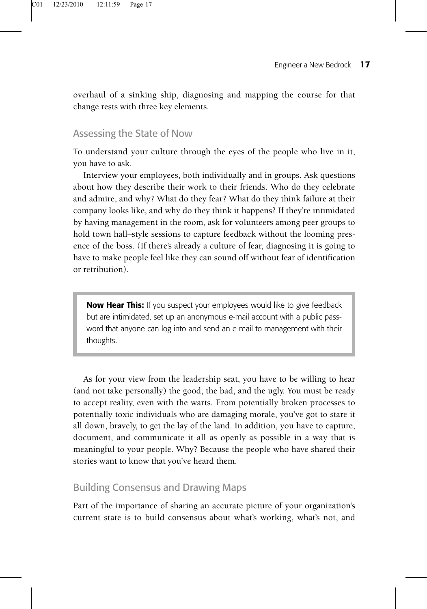overhaul of a sinking ship, diagnosing and mapping the course for that change rests with three key elements.

#### Assessing the State of Now

To understand your culture through the eyes of the people who live in it, you have to ask.

Interview your employees, both individually and in groups. Ask questions about how they describe their work to their friends. Who do they celebrate and admire, and why? What do they fear? What do they think failure at their company looks like, and why do they think it happens? If they're intimidated by having management in the room, ask for volunteers among peer groups to hold town hall–style sessions to capture feedback without the looming presence of the boss. (If there's already a culture of fear, diagnosing it is going to have to make people feel like they can sound off without fear of identification or retribution).

**Now Hear This:** If you suspect your employees would like to give feedback but are intimidated, set up an anonymous e-mail account with a public password that anyone can log into and send an e-mail to management with their thoughts.

As for your view from the leadership seat, you have to be willing to hear (and not take personally) the good, the bad, and the ugly. You must be ready to accept reality, even with the warts. From potentially broken processes to potentially toxic individuals who are damaging morale, you've got to stare it all down, bravely, to get the lay of the land. In addition, you have to capture, document, and communicate it all as openly as possible in a way that is meaningful to your people. Why? Because the people who have shared their stories want to know that you've heard them.

#### Building Consensus and Drawing Maps

Part of the importance of sharing an accurate picture of your organization's current state is to build consensus about what's working, what's not, and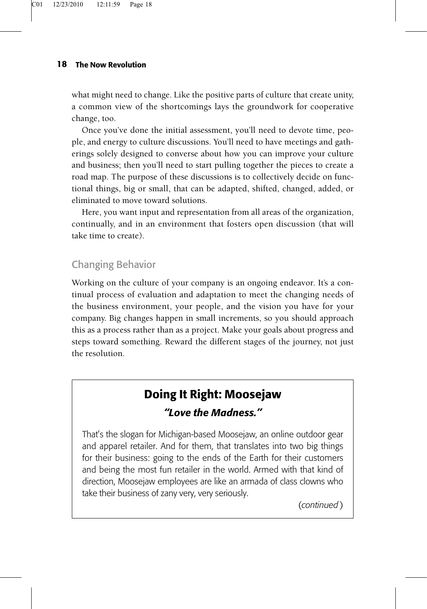what might need to change. Like the positive parts of culture that create unity, a common view of the shortcomings lays the groundwork for cooperative change, too.

Once you've done the initial assessment, you'll need to devote time, people, and energy to culture discussions. You'll need to have meetings and gatherings solely designed to converse about how you can improve your culture and business; then you'll need to start pulling together the pieces to create a road map. The purpose of these discussions is to collectively decide on functional things, big or small, that can be adapted, shifted, changed, added, or eliminated to move toward solutions.

Here, you want input and representation from all areas of the organization, continually, and in an environment that fosters open discussion (that will take time to create).

## Changing Behavior

Working on the culture of your company is an ongoing endeavor. It's a continual process of evaluation and adaptation to meet the changing needs of the business environment, your people, and the vision you have for your company. Big changes happen in small increments, so you should approach this as a process rather than as a project. Make your goals about progress and steps toward something. Reward the different stages of the journey, not just the resolution.

# Doing It Right: Moosejaw ''Love the Madness.''

That's the slogan for Michigan-based Moosejaw, an online outdoor gear and apparel retailer. And for them, that translates into two big things for their business: going to the ends of the Earth for their customers and being the most fun retailer in the world. Armed with that kind of direction, Moosejaw employees are like an armada of class clowns who take their business of zany very, very seriously.

(continued )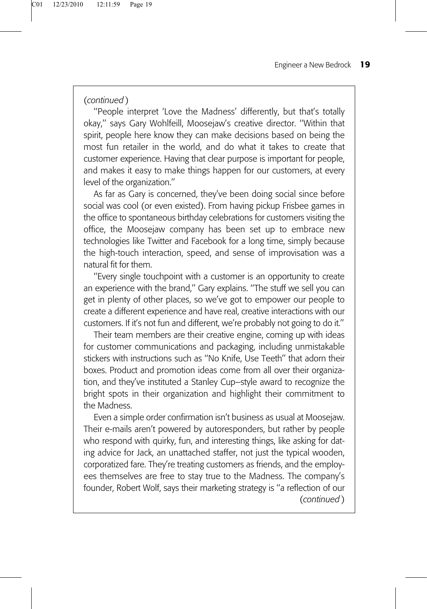#### (continued )

''People interpret 'Love the Madness' differently, but that's totally okay,'' says Gary Wohlfeill, Moosejaw's creative director. ''Within that spirit, people here know they can make decisions based on being the most fun retailer in the world, and do what it takes to create that customer experience. Having that clear purpose is important for people, and makes it easy to make things happen for our customers, at every level of the organization.''

As far as Gary is concerned, they've been doing social since before social was cool (or even existed). From having pickup Frisbee games in the office to spontaneous birthday celebrations for customers visiting the office, the Moosejaw company has been set up to embrace new technologies like Twitter and Facebook for a long time, simply because the high-touch interaction, speed, and sense of improvisation was a natural fit for them.

''Every single touchpoint with a customer is an opportunity to create an experience with the brand,'' Gary explains. ''The stuff we sell you can get in plenty of other places, so we've got to empower our people to create a different experience and have real, creative interactions with our customers. If it's not fun and different, we're probably not going to do it.''

Their team members are their creative engine, coming up with ideas for customer communications and packaging, including unmistakable stickers with instructions such as ''No Knife, Use Teeth'' that adorn their boxes. Product and promotion ideas come from all over their organization, and they've instituted a Stanley Cup–style award to recognize the bright spots in their organization and highlight their commitment to the Madness.

Even a simple order confirmation isn't business as usual at Moosejaw. Their e-mails aren't powered by autoresponders, but rather by people who respond with quirky, fun, and interesting things, like asking for dating advice for Jack, an unattached staffer, not just the typical wooden, corporatized fare. They're treating customers as friends, and the employees themselves are free to stay true to the Madness. The company's founder, Robert Wolf, says their marketing strategy is ''a reflection of our (continued )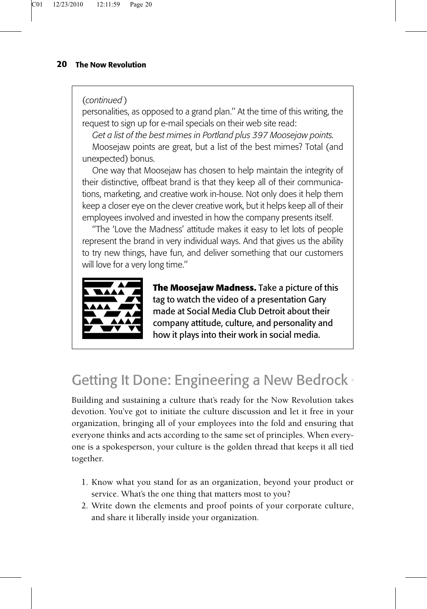#### (continued )

personalities, as opposed to a grand plan.'' At the time of this writing, the request to sign up for e-mail specials on their web site read:

Get a list of the best mimes in Portland plus 397 Moosejaw points. Moosejaw points are great, but a list of the best mimes? Total (and unexpected) bonus.

One way that Moosejaw has chosen to help maintain the integrity of their distinctive, offbeat brand is that they keep all of their communications, marketing, and creative work in-house. Not only does it help them keep a closer eye on the clever creative work, but it helps keep all of their employees involved and invested in how the company presents itself.

''The 'Love the Madness' attitude makes it easy to let lots of people represent the brand in very individual ways. And that gives us the ability to try new things, have fun, and deliver something that our customers will love for a very long time.''



**The Moosejaw Madness.** Take a picture of this tag to watch the video of a presentation Gary made at Social Media Club Detroit about their company attitude, culture, and personality and how it plays into their work in social media.

# Getting It Done: Engineering a New Bedrock

Building and sustaining a culture that's ready for the Now Revolution takes devotion. You've got to initiate the culture discussion and let it free in your organization, bringing all of your employees into the fold and ensuring that everyone thinks and acts according to the same set of principles. When everyone is a spokesperson, your culture is the golden thread that keeps it all tied together.

- 1. Know what you stand for as an organization, beyond your product or service. What's the one thing that matters most to you?
- 2. Write down the elements and proof points of your corporate culture, and share it liberally inside your organization.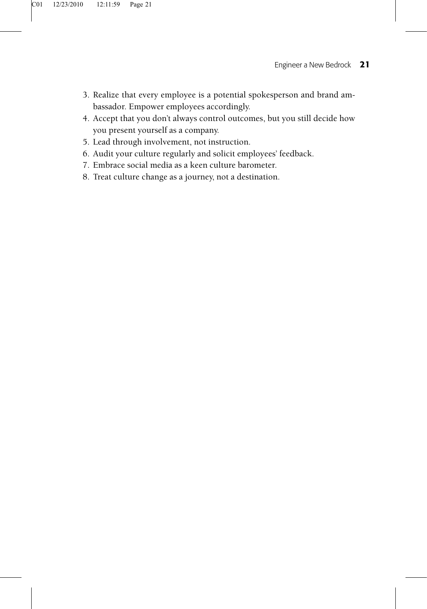- 3. Realize that every employee is a potential spokesperson and brand ambassador. Empower employees accordingly.
- 4. Accept that you don't always control outcomes, but you still decide how you present yourself as a company.
- 5. Lead through involvement, not instruction.
- 6. Audit your culture regularly and solicit employees' feedback.
- 7. Embrace social media as a keen culture barometer.
- 8. Treat culture change as a journey, not a destination.